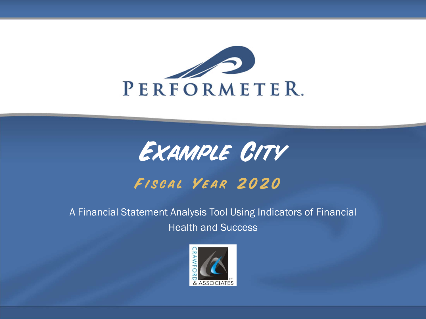

## *Example City Fiscal Year 2020*

A Financial Statement Analysis Tool Using Indicators of Financial Health and Success

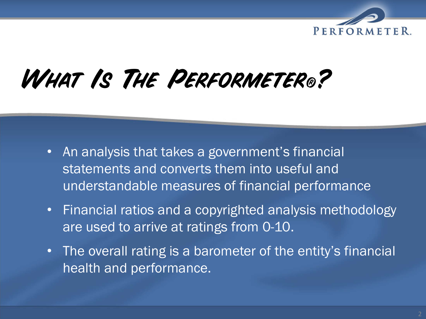

# *What Is The Performeter® ?*

- $\bullet$  An analysis that takes a government's financial statements and converts them into useful and understandable measures of financial performance
- $\bullet$  Financial ratios and a copyrighted analysis methodology are used to arrive at ratings from 0-10.
- $\bullet$ The overall rating is a barometer of the entity's financial health and performance.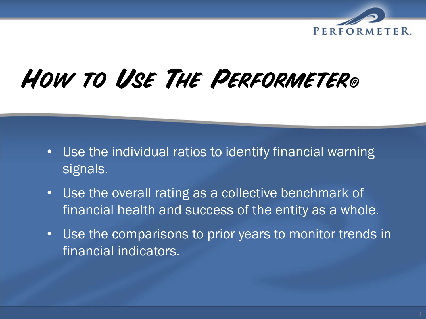

# *How to Use The Performeter®*

- •Use the individual ratios to identify financial warning signals.
- $\bullet$  Use the overall rating as a collective benchmark of financial health and success of the entity as a whole.
- • Use the comparisons to prior years to monitor trends in financial indicators.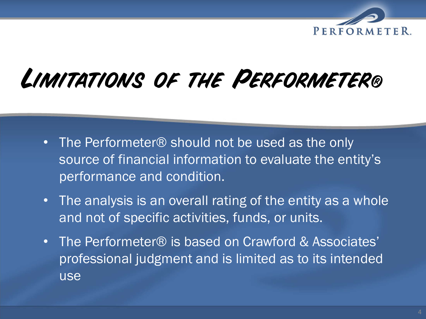

## *Limitations of the Performeter®*

- The Performeter® should not be used as the only source of financial information to evaluate the entity's performance and condition.
- $\bullet$  The analysis is an overall rating of the entity as a whole and not of specific activities, funds, or units.
- $\bullet$  The Performeter® is based on Crawford & Associates' professional judgment and is limited as to its intended use